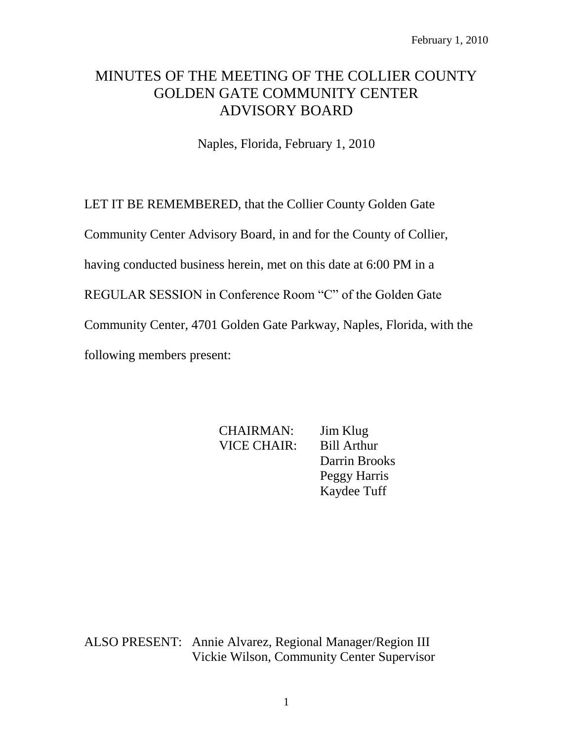# MINUTES OF THE MEETING OF THE COLLIER COUNTY GOLDEN GATE COMMUNITY CENTER ADVISORY BOARD

Naples, Florida, February 1, 2010

LET IT BE REMEMBERED, that the Collier County Golden Gate

Community Center Advisory Board, in and for the County of Collier,

having conducted business herein, met on this date at 6:00 PM in a

REGULAR SESSION in Conference Room "C" of the Golden Gate

Community Center, 4701 Golden Gate Parkway, Naples, Florida, with the

following members present:

CHAIRMAN: Jim Klug VICE CHAIR: Bill Arthur Darrin Brooks Peggy Harris Kaydee Tuff

ALSO PRESENT: Annie Alvarez, Regional Manager/Region III Vickie Wilson, Community Center Supervisor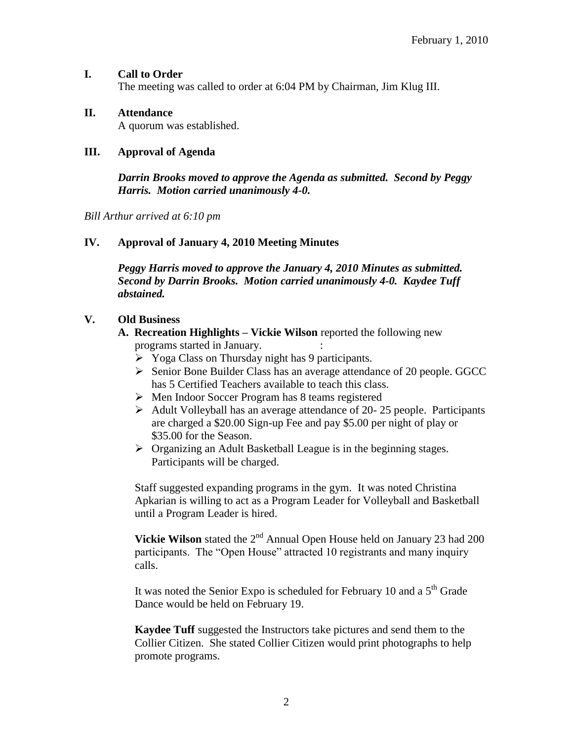### **I. Call to Order**

The meeting was called to order at 6:04 PM by Chairman, Jim Klug III.

### **II. Attendance**

A quorum was established.

#### **III. Approval of Agenda**

*Darrin Brooks moved to approve the Agenda as submitted. Second by Peggy Harris. Motion carried unanimously 4-0.*

*Bill Arthur arrived at 6:10 pm*

#### **IV. Approval of January 4, 2010 Meeting Minutes**

*Peggy Harris moved to approve the January 4, 2010 Minutes as submitted. Second by Darrin Brooks. Motion carried unanimously 4-0. Kaydee Tuff abstained.*

#### **V. Old Business**

**A. Recreation Highlights – Vickie Wilson** reported the following new programs started in January. :

- $\triangleright$  Yoga Class on Thursday night has 9 participants.
- $\triangleright$  Senior Bone Builder Class has an average attendance of 20 people. GGCC has 5 Certified Teachers available to teach this class.
- Men Indoor Soccer Program has 8 teams registered
- $\triangleright$  Adult Volleyball has an average attendance of 20-25 people. Participants are charged a \$20.00 Sign-up Fee and pay \$5.00 per night of play or \$35.00 for the Season.
- Organizing an Adult Basketball League is in the beginning stages. Participants will be charged.

Staff suggested expanding programs in the gym. It was noted Christina Apkarian is willing to act as a Program Leader for Volleyball and Basketball until a Program Leader is hired.

**Vickie Wilson** stated the 2<sup>nd</sup> Annual Open House held on January 23 had 200 participants. The "Open House" attracted 10 registrants and many inquiry calls.

It was noted the Senior Expo is scheduled for February 10 and a  $5<sup>th</sup>$  Grade Dance would be held on February 19.

**Kaydee Tuff** suggested the Instructors take pictures and send them to the Collier Citizen. She stated Collier Citizen would print photographs to help promote programs.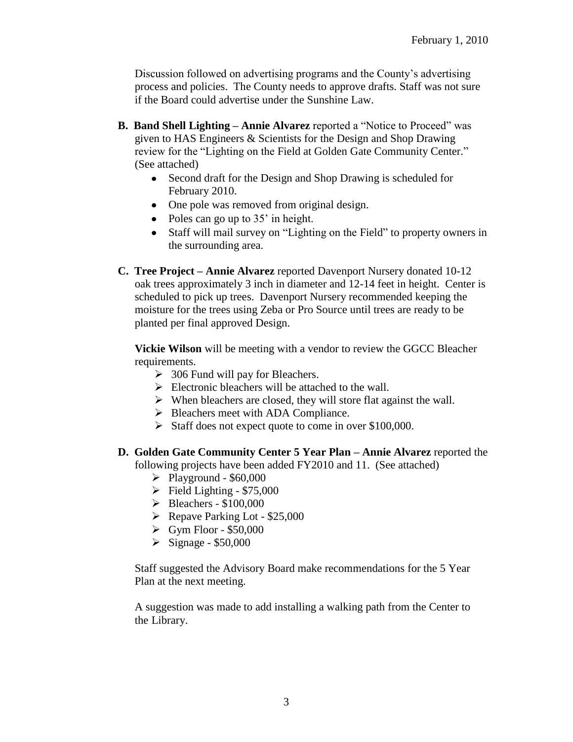Discussion followed on advertising programs and the County's advertising process and policies. The County needs to approve drafts. Staff was not sure if the Board could advertise under the Sunshine Law.

- **B. Band Shell Lighting – Annie Alvarez** reported a "Notice to Proceed" was given to HAS Engineers & Scientists for the Design and Shop Drawing review for the "Lighting on the Field at Golden Gate Community Center." (See attached)
	- Second draft for the Design and Shop Drawing is scheduled for February 2010.
	- One pole was removed from original design.
	- Poles can go up to  $35'$  in height.
	- Staff will mail survey on "Lighting on the Field" to property owners in the surrounding area.
- **C. Tree Project – Annie Alvarez** reported Davenport Nursery donated 10-12 oak trees approximately 3 inch in diameter and 12-14 feet in height. Center is scheduled to pick up trees. Davenport Nursery recommended keeping the moisture for the trees using Zeba or Pro Source until trees are ready to be planted per final approved Design.

**Vickie Wilson** will be meeting with a vendor to review the GGCC Bleacher requirements.

- $\geq$  306 Fund will pay for Bleachers.
- $\triangleright$  Electronic bleachers will be attached to the wall.
- $\triangleright$  When bleachers are closed, they will store flat against the wall.
- $\triangleright$  Bleachers meet with ADA Compliance.
- $\triangleright$  Staff does not expect quote to come in over \$100,000.
- **D. Golden Gate Community Center 5 Year Plan – Annie Alvarez** reported the following projects have been added FY2010 and 11. (See attached)
	- $\blacktriangleright$  Playground \$60,000
	- $\triangleright$  Field Lighting \$75,000
	- $\blacktriangleright$  Bleachers \$100,000
	- $\triangleright$  Repave Parking Lot \$25,000
	- $\triangleright$  Gym Floor \$50,000
	- $\triangleright$  Signage \$50,000

Staff suggested the Advisory Board make recommendations for the 5 Year Plan at the next meeting.

A suggestion was made to add installing a walking path from the Center to the Library.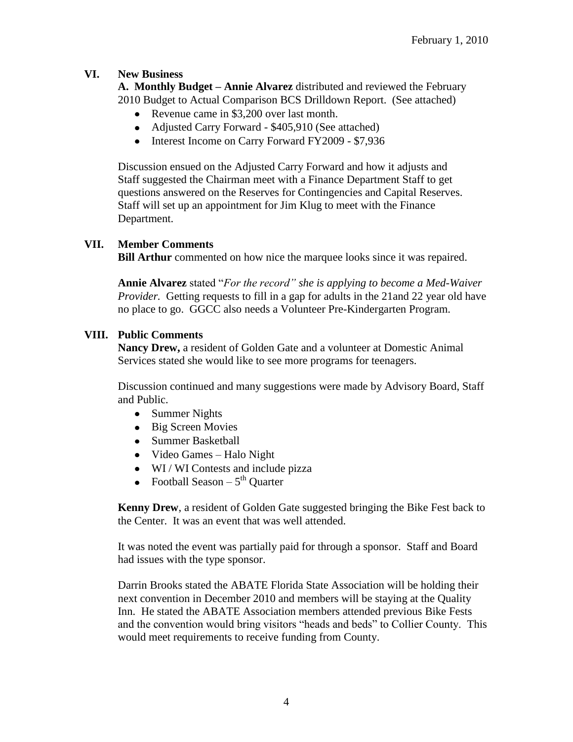## **VI. New Business**

**A. Monthly Budget – Annie Alvarez** distributed and reviewed the February 2010 Budget to Actual Comparison BCS Drilldown Report. (See attached)

- Revenue came in \$3,200 over last month.
- Adjusted Carry Forward \$405,910 (See attached)
- Interest Income on Carry Forward FY2009 \$7,936

Discussion ensued on the Adjusted Carry Forward and how it adjusts and Staff suggested the Chairman meet with a Finance Department Staff to get questions answered on the Reserves for Contingencies and Capital Reserves. Staff will set up an appointment for Jim Klug to meet with the Finance Department.

## **VII. Member Comments**

**Bill Arthur** commented on how nice the marquee looks since it was repaired.

**Annie Alvarez** stated "*For the record" she is applying to become a Med-Waiver Provider.* Getting requests to fill in a gap for adults in the 21 and 22 year old have no place to go. GGCC also needs a Volunteer Pre-Kindergarten Program.

## **VIII. Public Comments**

**Nancy Drew,** a resident of Golden Gate and a volunteer at Domestic Animal Services stated she would like to see more programs for teenagers.

Discussion continued and many suggestions were made by Advisory Board, Staff and Public.

- Summer Nights
- Big Screen Movies
- Summer Basketball
- Video Games Halo Night
- WI/WI Contests and include pizza
- Football Season 5<sup>th</sup> Quarter

**Kenny Drew**, a resident of Golden Gate suggested bringing the Bike Fest back to the Center. It was an event that was well attended.

It was noted the event was partially paid for through a sponsor. Staff and Board had issues with the type sponsor.

Darrin Brooks stated the ABATE Florida State Association will be holding their next convention in December 2010 and members will be staying at the Quality Inn. He stated the ABATE Association members attended previous Bike Fests and the convention would bring visitors "heads and beds" to Collier County. This would meet requirements to receive funding from County.